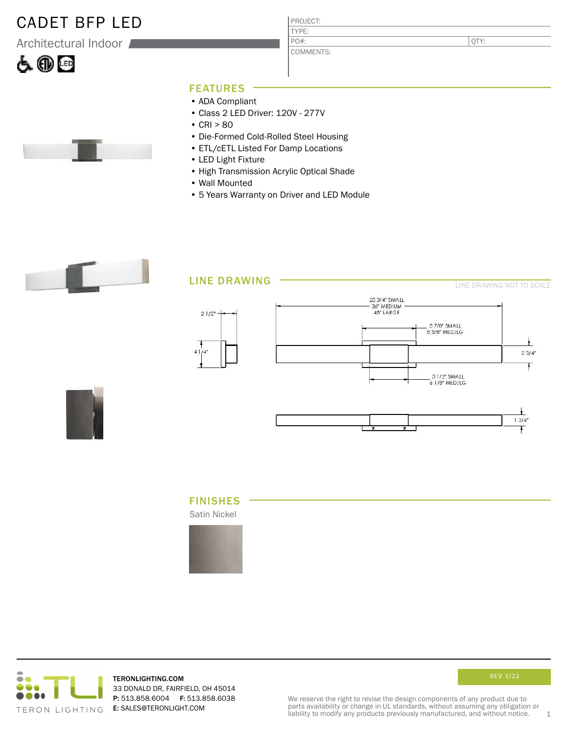## CADET BFP LED

Architectural Indoor





PROJECT: TYPE: COMMENTS: PO#:

QTY:

#### FEATURES

- ADA Compliant
- Class 2 LED Driver: 120V 277V
- $CRI > 80$
- Die-Formed Cold-Rolled Steel Housing
- ETL/cETL Listed For Damp Locations
- LED Light Fixture
- High Transmission Acrylic Optical Shade
- Wall Mounted
- 5 Years Warranty on Driver and LED Module



### LINE DRAWING





### FINISHES

Satin Nickel





TERONLIGHTING.COM 33 DONALD DR, FAIRFIELD, OH 45014 P: 513.858.6004 F: 513.858.6038 E: SALES@TERONLIGHT.COM



We reserve the right to revise the design components of any product due to parts availability or change in UL standards, without assuming any obligation or liability to modify any products previously manufactured, and without notice. 1